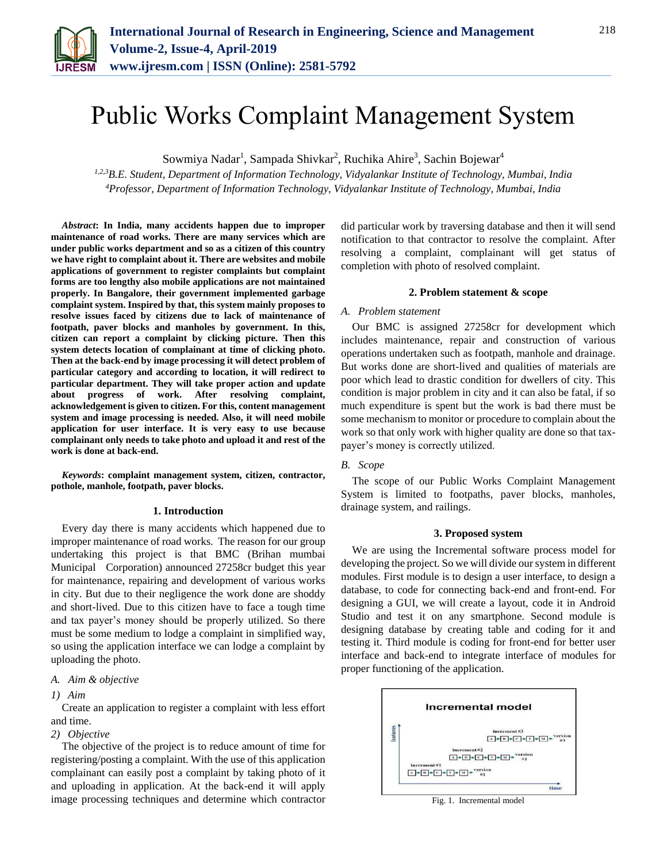

# Public Works Complaint Management System

Sowmiya Nadar<sup>1</sup>, Sampada Shivkar<sup>2</sup>, Ruchika Ahire<sup>3</sup>, Sachin Bojewar<sup>4</sup>

*1,2,3B.E. Student, Department of Information Technology, Vidyalankar Institute of Technology, Mumbai, India 4Professor, Department of Information Technology, Vidyalankar Institute of Technology, Mumbai, India*

*Abstract***: In India, many accidents happen due to improper maintenance of road works. There are many services which are under public works department and so as a citizen of this country we have right to complaint about it. There are websites and mobile applications of government to register complaints but complaint forms are too lengthy also mobile applications are not maintained properly. In Bangalore, their government implemented garbage complaint system. Inspired by that, this system mainly proposes to resolve issues faced by citizens due to lack of maintenance of footpath, paver blocks and manholes by government. In this, citizen can report a complaint by clicking picture. Then this system detects location of complainant at time of clicking photo. Then at the back-end by image processing it will detect problem of particular category and according to location, it will redirect to particular department. They will take proper action and update about progress of work. After resolving complaint, acknowledgement is given to citizen. For this, content management system and image processing is needed. Also, it will need mobile application for user interface. It is very easy to use because complainant only needs to take photo and upload it and rest of the work is done at back-end.**

*Keywords***: complaint management system, citizen, contractor, pothole, manhole, footpath, paver blocks.**

#### **1. Introduction**

Every day there is many accidents which happened due to improper maintenance of road works. The reason for our group undertaking this project is that BMC (Brihan mumbai Municipal Corporation) announced 27258cr budget this year for maintenance, repairing and development of various works in city. But due to their negligence the work done are shoddy and short-lived. Due to this citizen have to face a tough time and tax payer's money should be properly utilized. So there must be some medium to lodge a complaint in simplified way, so using the application interface we can lodge a complaint by uploading the photo.

#### *A. Aim & objective*

#### *1) Aim*

Create an application to register a complaint with less effort and time.

#### *2) Objective*

The objective of the project is to reduce amount of time for registering/posting a complaint. With the use of this application complainant can easily post a complaint by taking photo of it and uploading in application. At the back-end it will apply image processing techniques and determine which contractor

did particular work by traversing database and then it will send notification to that contractor to resolve the complaint. After resolving a complaint, complainant will get status of completion with photo of resolved complaint.

#### **2. Problem statement & scope**

#### *A. Problem statement*

Our BMC is assigned 27258cr for development which includes maintenance, repair and construction of various operations undertaken such as footpath, manhole and drainage. But works done are short-lived and qualities of materials are poor which lead to drastic condition for dwellers of city. This condition is major problem in city and it can also be fatal, if so much expenditure is spent but the work is bad there must be some mechanism to monitor or procedure to complain about the work so that only work with higher quality are done so that taxpayer's money is correctly utilized.

#### *B. Scope*

The scope of our Public Works Complaint Management System is limited to footpaths, paver blocks, manholes, drainage system, and railings.

#### **3. Proposed system**

We are using the Incremental software process model for developing the project. So we will divide our system in different modules. First module is to design a user interface, to design a database, to code for connecting back-end and front-end. For designing a GUI, we will create a layout, code it in Android Studio and test it on any smartphone. Second module is designing database by creating table and coding for it and testing it. Third module is coding for front-end for better user interface and back-end to integrate interface of modules for proper functioning of the application.



Fig. 1. Incremental model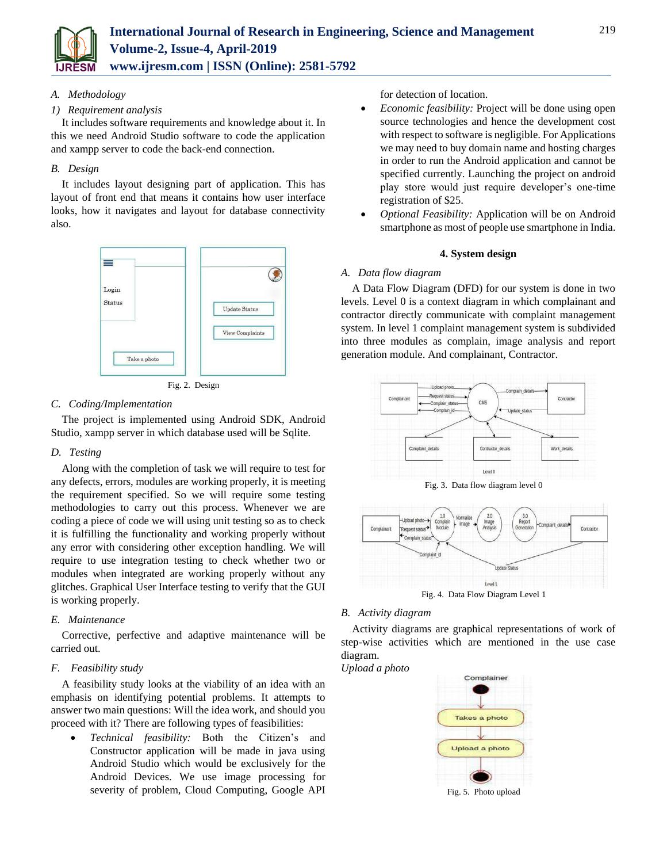

## *A. Methodology*

#### *1) Requirement analysis*

It includes software requirements and knowledge about it. In this we need Android Studio software to code the application and xampp server to code the back-end connection.

## *B. Design*

It includes layout designing part of application. This has layout of front end that means it contains how user interface looks, how it navigates and layout for database connectivity also.



Fig. 2. Design

## *C. Coding/Implementation*

The project is implemented using Android SDK, Android Studio, xampp server in which database used will be Sqlite.

#### *D. Testing*

Along with the completion of task we will require to test for any defects, errors, modules are working properly, it is meeting the requirement specified. So we will require some testing methodologies to carry out this process. Whenever we are coding a piece of code we will using unit testing so as to check it is fulfilling the functionality and working properly without any error with considering other exception handling. We will require to use integration testing to check whether two or modules when integrated are working properly without any glitches. Graphical User Interface testing to verify that the GUI is working properly.

# *E. Maintenance*

Corrective, perfective and adaptive maintenance will be carried out.

# *F. Feasibility study*

A feasibility study looks at the viability of an idea with an emphasis on identifying potential problems. It attempts to answer two main questions: Will the idea work, and should you proceed with it? There are following types of feasibilities:

 *Technical feasibility:* Both the Citizen's and Constructor application will be made in java using Android Studio which would be exclusively for the Android Devices. We use image processing for severity of problem, Cloud Computing, Google API

for detection of location.

- *Economic feasibility:* Project will be done using open source technologies and hence the development cost with respect to software is negligible. For Applications we may need to buy domain name and hosting charges in order to run the Android application and cannot be specified currently. Launching the project on android play store would just require developer's one-time registration of \$25.
- *Optional Feasibility:* Application will be on Android smartphone as most of people use smartphone in India.

#### **4. System design**

#### *A. Data flow diagram*

A Data Flow Diagram (DFD) for our system is done in two levels. Level 0 is a context diagram in which complainant and contractor directly communicate with complaint management system. In level 1 complaint management system is subdivided into three modules as complain, image analysis and report generation module. And complainant, Contractor.



Fig. 3. Data flow diagram level 0



Fig. 4. Data Flow Diagram Level 1

#### *B. Activity diagram*

Activity diagrams are graphical representations of work of step-wise activities which are mentioned in the use case diagram. *Upload a photo*

Complainer **Takes a photo Upload a photo** 

Fig. 5. Photo upload